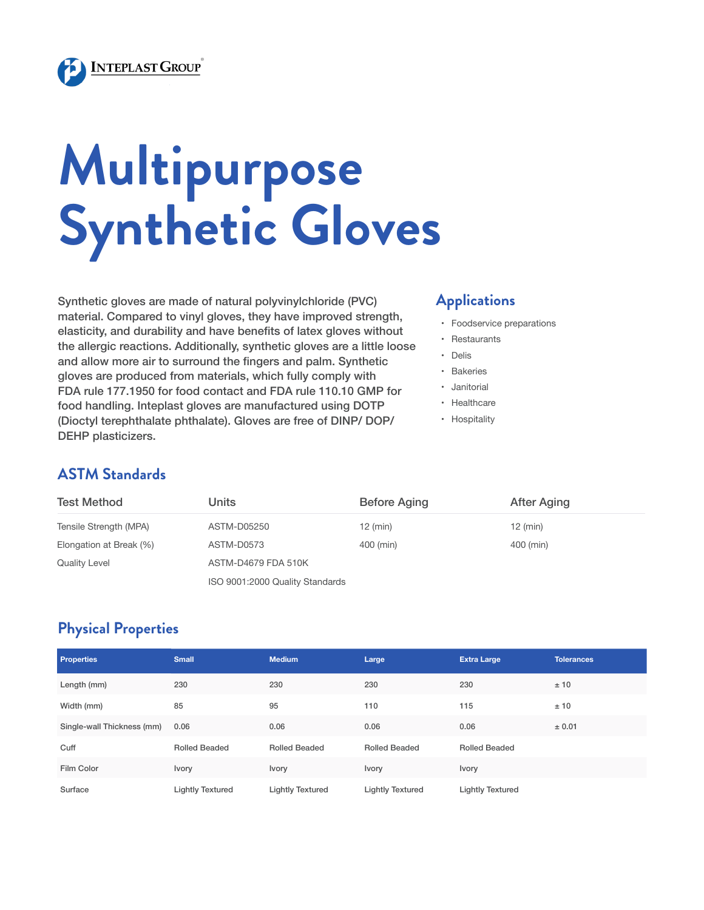

# **Multipurpose Synthetic Gloves**

Synthetic gloves are made of natural polyvinylchloride (PVC) material. Compared to vinyl gloves, they have improved strength, elasticity, and durability and have benefits of latex gloves without the allergic reactions. Additionally, synthetic gloves are a little loose and allow more air to surround the fingers and palm. Synthetic gloves are produced from materials, which fully comply with FDA rule 177.1950 for food contact and FDA rule 110.10 GMP for food handling. Inteplast gloves are manufactured using DOTP (Dioctyl terephthalate phthalate). Gloves are free of DINP/ DOP/ DEHP plasticizers.

#### **Applications**

- • Foodservice preparations
- • Restaurants
- • Delis
- • Bakeries
- • Janitorial
- • Healthcare
- • Hospitality

### **ASTM Standards**

| <b>Test Method</b>      | Units                           | <b>Before Aging</b> | <b>After Aging</b> |  |
|-------------------------|---------------------------------|---------------------|--------------------|--|
| Tensile Strength (MPA)  | ASTM-D05250                     | $12$ (min)          | $12$ (min)         |  |
| Elongation at Break (%) | ASTM-D0573                      | 400 (min)           | 400 (min)          |  |
| <b>Quality Level</b>    | ASTM-D4679 FDA 510K             |                     |                    |  |
|                         | ISO 9001:2000 Quality Standards |                     |                    |  |

### **Physical Properties**

| <b>Properties</b>          | <b>Small</b>            | <b>Medium</b>           | Large                   | <b>Extra Large</b>      | <b>Tolerances</b> |
|----------------------------|-------------------------|-------------------------|-------------------------|-------------------------|-------------------|
| Length (mm)                | 230                     | 230                     | 230                     | 230                     | ±10               |
| Width (mm)                 | 85                      | 95                      | 110                     | 115                     | ±10               |
| Single-wall Thickness (mm) | 0.06                    | 0.06                    | 0.06                    | 0.06                    | ± 0.01            |
| Cuff                       | Rolled Beaded           | <b>Rolled Beaded</b>    | <b>Rolled Beaded</b>    | <b>Rolled Beaded</b>    |                   |
| Film Color                 | <b>Ivory</b>            | Ivory                   | <b>Ivory</b>            | <b>Ivory</b>            |                   |
| Surface                    | <b>Lightly Textured</b> | <b>Lightly Textured</b> | <b>Lightly Textured</b> | <b>Lightly Textured</b> |                   |